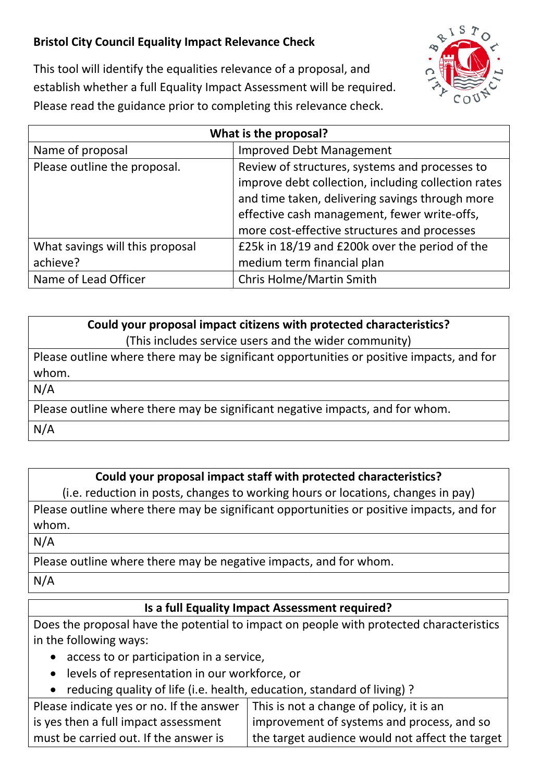## **Bristol City Council Equality Impact Relevance Check**



This tool will identify the equalities relevance of a proposal, and establish whether a full Equality Impact Assessment will be required. Please read the guidance prior to completing this relevance check.

| What is the proposal?           |                                                     |  |
|---------------------------------|-----------------------------------------------------|--|
| Name of proposal                | <b>Improved Debt Management</b>                     |  |
| Please outline the proposal.    | Review of structures, systems and processes to      |  |
|                                 | improve debt collection, including collection rates |  |
|                                 | and time taken, delivering savings through more     |  |
|                                 | effective cash management, fewer write-offs,        |  |
|                                 | more cost-effective structures and processes        |  |
| What savings will this proposal | £25k in 18/19 and £200k over the period of the      |  |
| achieve?                        | medium term financial plan                          |  |
| Name of Lead Officer            | Chris Holme/Martin Smith                            |  |

| Could your proposal impact citizens with protected characteristics?                      |  |  |
|------------------------------------------------------------------------------------------|--|--|
| (This includes service users and the wider community)                                    |  |  |
| Please outline where there may be significant opportunities or positive impacts, and for |  |  |
| whom.                                                                                    |  |  |
| N/A                                                                                      |  |  |
| Please outline where there may be significant negative impacts, and for whom.            |  |  |
| N/A                                                                                      |  |  |

## **Could your proposal impact staff with protected characteristics?**

(i.e. reduction in posts, changes to working hours or locations, changes in pay)

Please outline where there may be significant opportunities or positive impacts, and for whom.

## N/A

Please outline where there may be negative impacts, and for whom.

N/A

## **Is a full Equality Impact Assessment required?**

Does the proposal have the potential to impact on people with protected characteristics in the following ways:

- access to or participation in a service,
- levels of representation in our workforce, or
- reducing quality of life (i.e. health, education, standard of living) ?

| Please indicate yes or no. If the answer | This is not a change of policy, it is an        |
|------------------------------------------|-------------------------------------------------|
| is yes then a full impact assessment     | improvement of systems and process, and so      |
| must be carried out. If the answer is    | the target audience would not affect the target |
|                                          |                                                 |